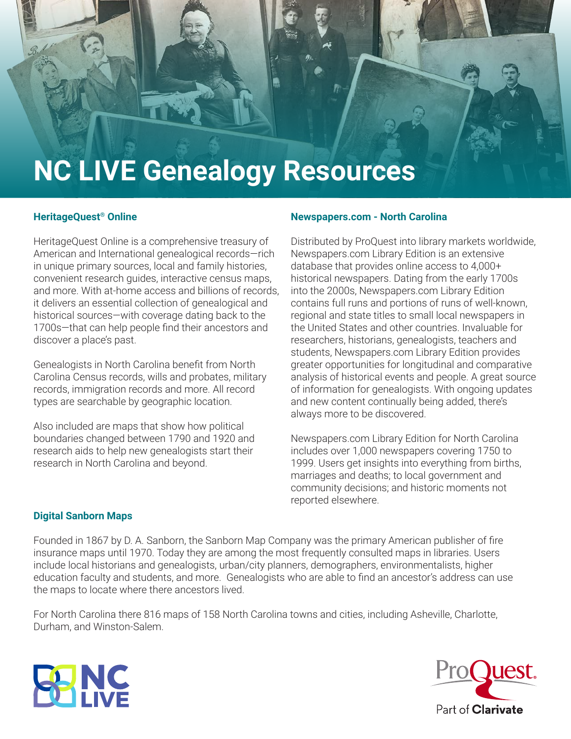

## **HeritageQuest® Online**

HeritageQuest Online is a comprehensive treasury of American and International genealogical records—rich in unique primary sources, local and family histories, convenient research guides, interactive census maps, and more. With at-home access and billions of records, it delivers an essential collection of genealogical and historical sources—with coverage dating back to the 1700s—that can help people find their ancestors and discover a place's past.

Genealogists in North Carolina benefit from North Carolina Census records, wills and probates, military records, immigration records and more. All record types are searchable by geographic location.

Also included are maps that show how political boundaries changed between 1790 and 1920 and research aids to help new genealogists start their research in North Carolina and beyond.

## **Newspapers.com - North Carolina**

Distributed by ProQuest into library markets worldwide, Newspapers.com Library Edition is an extensive database that provides online access to 4,000+ historical newspapers. Dating from the early 1700s into the 2000s, Newspapers.com Library Edition contains full runs and portions of runs of well-known, regional and state titles to small local newspapers in the United States and other countries. Invaluable for researchers, historians, genealogists, teachers and students, Newspapers.com Library Edition provides greater opportunities for longitudinal and comparative analysis of historical events and people. A great source of information for genealogists. With ongoing updates and new content continually being added, there's always more to be discovered.

Newspapers.com Library Edition for North Carolina includes over 1,000 newspapers covering 1750 to 1999. Users get insights into everything from births, marriages and deaths; to local government and community decisions; and historic moments not reported elsewhere.

## **Digital Sanborn Maps**

Founded in 1867 by D. A. Sanborn, the Sanborn Map Company was the primary American publisher of fire insurance maps until 1970. Today they are among the most frequently consulted maps in libraries. Users include local historians and genealogists, urban/city planners, demographers, environmentalists, higher education faculty and students, and more. Genealogists who are able to find an ancestor's address can use the maps to locate where there ancestors lived.

For North Carolina there 816 maps of 158 North Carolina towns and cities, including Asheville, Charlotte, Durham, and Winston-Salem.